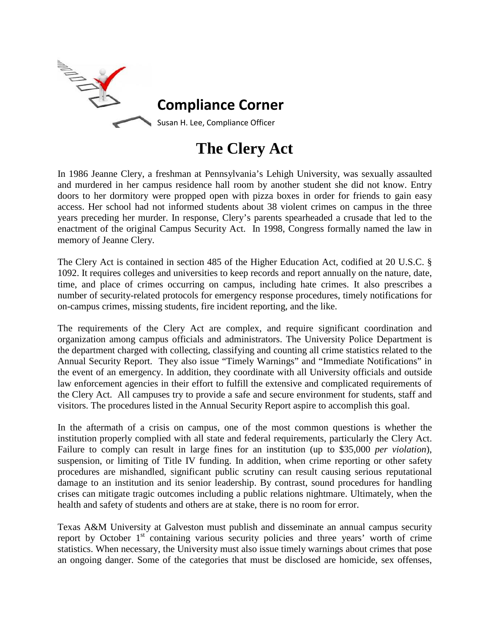

# **The Clery Act**

In 1986 Jeanne Clery, a freshman at Pennsylvania's Lehigh University, was sexually assaulted and murdered in her campus residence hall room by another student she did not know. Entry doors to her dormitory were propped open with pizza boxes in order for friends to gain easy access. Her school had not informed students about 38 violent crimes on campus in the three years preceding her murder. In response, Clery's parents spearheaded a crusade that led to the enactment of the original Campus Security Act. In 1998, Congress formally named the law in memory of Jeanne Clery.

The Clery Act is contained in section 485 of the Higher Education Act, codified at 20 U.S.C. § 1092. It requires colleges and universities to keep records and report annually on the nature, date, time, and place of crimes occurring on campus, including hate crimes. It also prescribes a number of security-related protocols for emergency response procedures, timely notifications for on-campus crimes, missing students, fire incident reporting, and the like.

The requirements of the Clery Act are complex, and require significant coordination and organization among campus officials and administrators. The University Police Department is the department charged with collecting, classifying and counting all crime statistics related to the Annual Security Report. They also issue "Timely Warnings" and "Immediate Notifications" in the event of an emergency. In addition, they coordinate with all University officials and outside law enforcement agencies in their effort to fulfill the extensive and complicated requirements of the Clery Act. All campuses try to provide a safe and secure environment for students, staff and visitors. The procedures listed in the Annual Security Report aspire to accomplish this goal.

In the aftermath of a crisis on campus, one of the most common questions is whether the institution properly complied with all state and federal requirements, particularly the Clery Act. Failure to comply can result in large fines for an institution (up to \$35,000 *per violation*), suspension, or limiting of Title IV funding. In addition, when crime reporting or other safety procedures are mishandled, significant public scrutiny can result causing serious reputational damage to an institution and its senior leadership. By contrast, sound procedures for handling crises can mitigate tragic outcomes including a public relations nightmare. Ultimately, when the health and safety of students and others are at stake, there is no room for error.

Texas A&M University at Galveston must publish and disseminate an annual campus security report by October  $1<sup>st</sup>$  containing various security policies and three years' worth of crime statistics. When necessary, the University must also issue timely warnings about crimes that pose an ongoing danger. Some of the categories that must be disclosed are homicide, sex offenses,